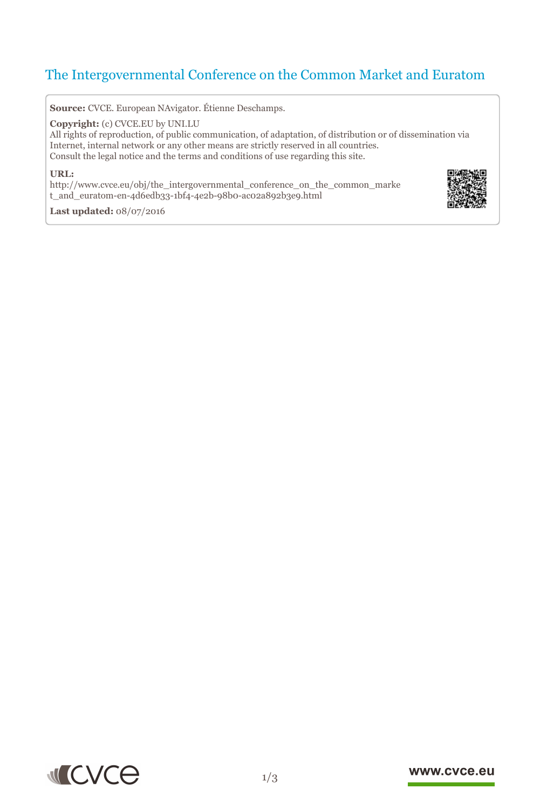# The Intergovernmental Conference on the Common Market and Euratom

**Source:** CVCE. European NAvigator. Étienne Deschamps.

**Copyright:** (c) CVCE.EU by UNI.LU

All rights of reproduction, of public communication, of adaptation, of distribution or of dissemination via Internet, internal network or any other means are strictly reserved in all countries. Consult the legal notice and the terms and conditions of use regarding this site.

#### **URL:**

http://www.cvce.eu/obj/the\_intergovernmental\_conference\_on\_the\_common\_marke t\_a[nd\\_euratom-en-4d6edb33-1bf4-4e2b-98b0-ac02a892b3e9.html](http://www.cvce.eu/obj/the_intergovernmental_conference_on_the_common_market_and_euratom-en-4d6edb33-1bf4-4e2b-98b0-ac02a892b3e9.html)



**Las[t updated:](http://www.cvce.eu/obj/the_intergovernmental_conference_on_the_common_market_and_euratom-en-4d6edb33-1bf4-4e2b-98b0-ac02a892b3e9.html)** 08/07/2016



#### www.cvce.eu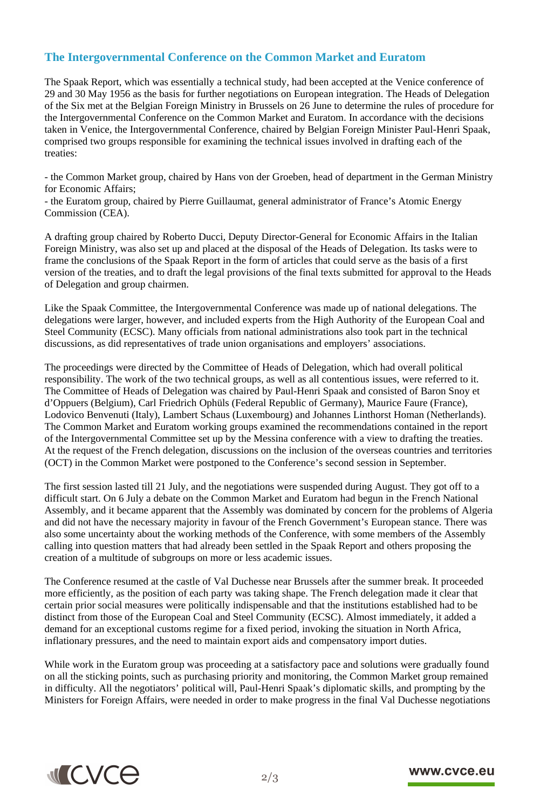## **The Intergovernmental Conference on the Common Market and Euratom**

The Spaak Report, which was essentially a technical study, had been accepted at the Venice conference of 29 and 30 May 1956 as the basis for further negotiations on European integration. The Heads of Delegation of the Six met at the Belgian Foreign Ministry in Brussels on 26 June to determine the rules of procedure for the Intergovernmental Conference on the Common Market and Euratom. In accordance with the decisions taken in Venice, the Intergovernmental Conference, chaired by Belgian Foreign Minister Paul-Henri Spaak, comprised two groups responsible for examining the technical issues involved in drafting each of the treaties:

- the Common Market group, chaired by Hans von der Groeben, head of department in the German Ministry for Economic Affairs;

- the Euratom group, chaired by Pierre Guillaumat, general administrator of France's Atomic Energy Commission (CEA).

A drafting group chaired by Roberto Ducci, Deputy Director-General for Economic Affairs in the Italian Foreign Ministry, was also set up and placed at the disposal of the Heads of Delegation. Its tasks were to frame the conclusions of the Spaak Report in the form of articles that could serve as the basis of a first version of the treaties, and to draft the legal provisions of the final texts submitted for approval to the Heads of Delegation and group chairmen.

Like the Spaak Committee, the Intergovernmental Conference was made up of national delegations. The delegations were larger, however, and included experts from the High Authority of the European Coal and Steel Community (ECSC). Many officials from national administrations also took part in the technical discussions, as did representatives of trade union organisations and employers' associations.

The proceedings were directed by the Committee of Heads of Delegation, which had overall political responsibility. The work of the two technical groups, as well as all contentious issues, were referred to it. The Committee of Heads of Delegation was chaired by Paul-Henri Spaak and consisted of Baron Snoy et d'Oppuers (Belgium), Carl Friedrich Ophüls (Federal Republic of Germany), Maurice Faure (France), Lodovico Benvenuti (Italy), Lambert Schaus (Luxembourg) and Johannes Linthorst Homan (Netherlands). The Common Market and Euratom working groups examined the recommendations contained in the report of the Intergovernmental Committee set up by the Messina conference with a view to drafting the treaties. At the request of the French delegation, discussions on the inclusion of the overseas countries and territories (OCT) in the Common Market were postponed to the Conference's second session in September.

The first session lasted till 21 July, and the negotiations were suspended during August. They got off to a difficult start. On 6 July a debate on the Common Market and Euratom had begun in the French National Assembly, and it became apparent that the Assembly was dominated by concern for the problems of Algeria and did not have the necessary majority in favour of the French Government's European stance. There was also some uncertainty about the working methods of the Conference, with some members of the Assembly calling into question matters that had already been settled in the Spaak Report and others proposing the creation of a multitude of subgroups on more or less academic issues.

The Conference resumed at the castle of Val Duchesse near Brussels after the summer break. It proceeded more efficiently, as the position of each party was taking shape. The French delegation made it clear that certain prior social measures were politically indispensable and that the institutions established had to be distinct from those of the European Coal and Steel Community (ECSC). Almost immediately, it added a demand for an exceptional customs regime for a fixed period, invoking the situation in North Africa, inflationary pressures, and the need to maintain export aids and compensatory import duties.

While work in the Euratom group was proceeding at a satisfactory pace and solutions were gradually found on all the sticking points, such as purchasing priority and monitoring, the Common Market group remained in difficulty. All the negotiators' political will, Paul-Henri Spaak's diplomatic skills, and prompting by the Ministers for Foreign Affairs, were needed in order to make progress in the final Val Duchesse negotiations